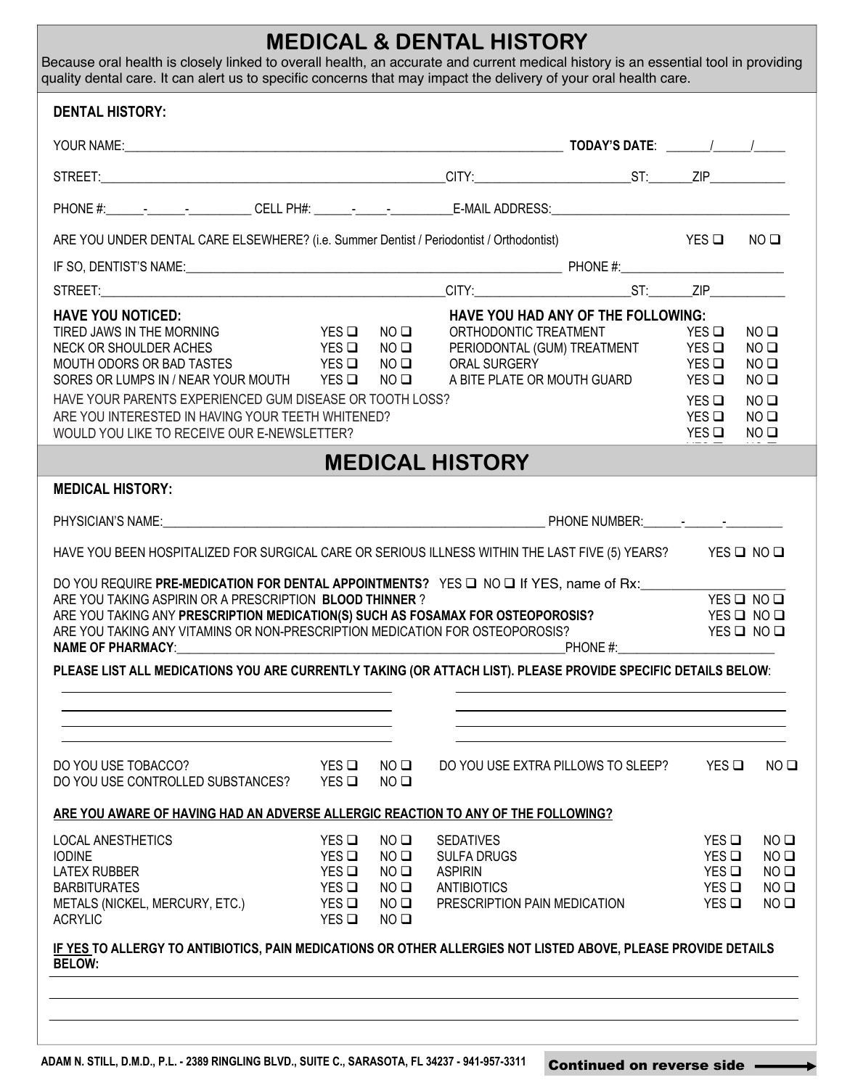## **MEDICAL & DENTAL HISTORY**

Because oral health is closely linked to overall health, an accurate and current medical history is an essential tool in providing quality dental care. It can alert us to specific concerns that may impact the delivery of your oral health care.

| <b>DENTAL HISTORY:</b>                                                                                                                                                                                                                                                                                                                                                                                                                                           |                                                    |                                                                                                          |                                                                                                         |                                                                                                                      |                                                                                                          |                                                                                                                             |
|------------------------------------------------------------------------------------------------------------------------------------------------------------------------------------------------------------------------------------------------------------------------------------------------------------------------------------------------------------------------------------------------------------------------------------------------------------------|----------------------------------------------------|----------------------------------------------------------------------------------------------------------|---------------------------------------------------------------------------------------------------------|----------------------------------------------------------------------------------------------------------------------|----------------------------------------------------------------------------------------------------------|-----------------------------------------------------------------------------------------------------------------------------|
|                                                                                                                                                                                                                                                                                                                                                                                                                                                                  |                                                    |                                                                                                          |                                                                                                         |                                                                                                                      |                                                                                                          |                                                                                                                             |
|                                                                                                                                                                                                                                                                                                                                                                                                                                                                  |                                                    |                                                                                                          |                                                                                                         |                                                                                                                      |                                                                                                          |                                                                                                                             |
| PHONE #:_____________________________CELL PH#: ____________________________E-MAIL ADDRESS:__________________________                                                                                                                                                                                                                                                                                                                                             |                                                    |                                                                                                          |                                                                                                         |                                                                                                                      |                                                                                                          |                                                                                                                             |
| ARE YOU UNDER DENTAL CARE ELSEWHERE? (i.e. Summer Dentist / Periodontist / Orthodontist)                                                                                                                                                                                                                                                                                                                                                                         |                                                    |                                                                                                          |                                                                                                         | <b>EXAMPLE STATES IN THE STATE OF STATES IN THE STATE OF STATES IN THE STATE OF STATES IN THE STATE OF STATES IN</b> |                                                                                                          | $NO$ $\square$                                                                                                              |
|                                                                                                                                                                                                                                                                                                                                                                                                                                                                  |                                                    |                                                                                                          |                                                                                                         |                                                                                                                      |                                                                                                          |                                                                                                                             |
|                                                                                                                                                                                                                                                                                                                                                                                                                                                                  |                                                    |                                                                                                          |                                                                                                         |                                                                                                                      |                                                                                                          |                                                                                                                             |
| <b>HAVE YOU NOTICED:</b><br>PES □<br>TIRED JAWS IN THE MORNING<br>NECK OR SHOULDER ACHES VES Q<br>MOUTH ODORS OR BAD TASTES YES Q<br>SORES OR LUMPS IN / NEAR YOUR MOUTH YES $\Box$<br>HAVE YOUR PARENTS EXPERIENCED GUM DISEASE OR TOOTH LOSS?<br>ARE YOU INTERESTED IN HAVING YOUR TEETH WHITENED?<br>WOULD YOU LIKE TO RECEIVE OUR E-NEWSLETTER?                                                                                                              |                                                    | $NO$ $\square$<br>$NO$ $\square$<br>NO <sub>Q</sub><br>$NO$ $\square$                                    | ORTHODONTIC TREATMENT<br>ORAL SURGERY                                                                   | HAVE YOU HAD ANY OF THE FOLLOWING:<br>PERIODONTAL (GUM) TREATMENT YES Q<br>A BITE PLATE OR MOUTH GUARD               | $YES$ $\Box$<br>YES <b>□</b><br>$YES$ $\square$<br>$YES$ $\square$<br>$YES$ $\square$<br>$YES$ $\square$ | $NO$ $\square$<br>$NO$ $\square$<br>NO <sub>Q</sub><br>$NO$ $\square$<br>$NO$ $\square$<br>$NO$ $\square$<br>$NO$ $\square$ |
|                                                                                                                                                                                                                                                                                                                                                                                                                                                                  |                                                    |                                                                                                          | <b>MEDICAL HISTORY</b>                                                                                  |                                                                                                                      |                                                                                                          |                                                                                                                             |
| <b>MEDICAL HISTORY:</b>                                                                                                                                                                                                                                                                                                                                                                                                                                          |                                                    |                                                                                                          |                                                                                                         |                                                                                                                      |                                                                                                          |                                                                                                                             |
|                                                                                                                                                                                                                                                                                                                                                                                                                                                                  |                                                    |                                                                                                          |                                                                                                         |                                                                                                                      |                                                                                                          |                                                                                                                             |
| HAVE YOU BEEN HOSPITALIZED FOR SURGICAL CARE OR SERIOUS ILLNESS WITHIN THE LAST FIVE (5) YEARS? YES Q NO Q                                                                                                                                                                                                                                                                                                                                                       |                                                    |                                                                                                          |                                                                                                         |                                                                                                                      |                                                                                                          |                                                                                                                             |
| DO YOU REQUIRE PRE-MEDICATION FOR DENTAL APPOINTMENTS? YES Q NO Q If YES, name of Rx:<br>ARE YOU TAKING ASPIRIN OR A PRESCRIPTION BLOOD THINNER?<br>ARE YOU TAKING ANY PRESCRIPTION MEDICATION(S) SUCH AS FOSAMAX FOR OSTEOPOROSIS?<br>ARE YOU TAKING ANY VITAMINS OR NON-PRESCRIPTION MEDICATION FOR OSTEOPOROSIS?<br><b>NAME OF PHARMACY:</b><br>PLEASE LIST ALL MEDICATIONS YOU ARE CURRENTLY TAKING (OR ATTACH LIST). PLEASE PROVIDE SPECIFIC DETAILS BELOW: |                                                    |                                                                                                          |                                                                                                         |                                                                                                                      |                                                                                                          | YES Q NO Q<br>$YES$ $□$ $NO$ $□$<br>$YES$ $□$ $NO$ $□$                                                                      |
| DO YOU USE TOBACCO?<br>DO YOU USE CONTROLLED SUBSTANCES?                                                                                                                                                                                                                                                                                                                                                                                                         | YES<br>$YES$ $\Box$                                | NO <sub>Q</sub><br>NO <sub>Q</sub>                                                                       | DO YOU USE EXTRA PILLOWS TO SLEEP?                                                                      |                                                                                                                      | YES                                                                                                      | $NO$ $\square$                                                                                                              |
| ARE YOU AWARE OF HAVING HAD AN ADVERSE ALLERGIC REACTION TO ANY OF THE FOLLOWING?                                                                                                                                                                                                                                                                                                                                                                                |                                                    |                                                                                                          |                                                                                                         |                                                                                                                      |                                                                                                          |                                                                                                                             |
| <b>LOCAL ANESTHETICS</b><br><b>IODINE</b><br><b>LATEX RUBBER</b><br><b>BARBITURATES</b><br>METALS (NICKEL, MERCURY, ETC.)<br><b>ACRYLIC</b>                                                                                                                                                                                                                                                                                                                      | YES<br>YES<br>YES<br>YES<br>$YES$ $\square$<br>YES | $NO$ $\square$<br>$NO$ $\square$<br>$NO$ $\square$<br>$NO$ $\square$<br>$NO$ $\square$<br>$NO$ $\square$ | <b>SEDATIVES</b><br><b>SULFA DRUGS</b><br><b>ASPIRIN</b><br>ANTIBIOTICS<br>PRESCRIPTION PAIN MEDICATION |                                                                                                                      | $YES$ $\square$<br>YES<br>YES<br>YES<br>$YES$ $\square$                                                  | $NO$ $\square$<br>$NO$ $\square$<br>$NO$ $\square$<br>$NO$ $\square$<br>$NO$ $\square$                                      |
| IF YES TO ALLERGY TO ANTIBIOTICS, PAIN MEDICATIONS OR OTHER ALLERGIES NOT LISTED ABOVE, PLEASE PROVIDE DETAILS<br><b>BELOW:</b>                                                                                                                                                                                                                                                                                                                                  |                                                    |                                                                                                          |                                                                                                         |                                                                                                                      |                                                                                                          |                                                                                                                             |